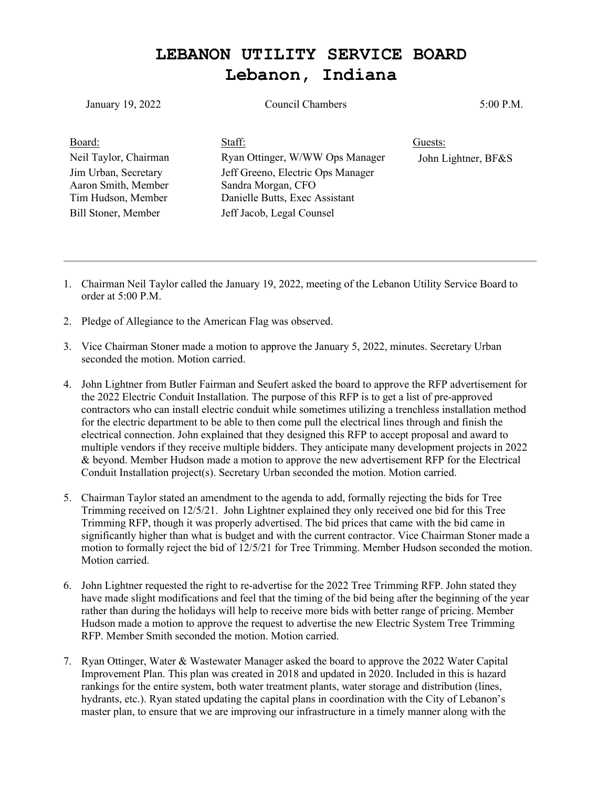## **LEBANON UTILITY SERVICE BOARD Lebanon, Indiana**

| January 19, 2022                                                                         | <b>Council Chambers</b>                                                                                                | 5:00 P.M.           |
|------------------------------------------------------------------------------------------|------------------------------------------------------------------------------------------------------------------------|---------------------|
| Board:                                                                                   | Staff:                                                                                                                 | Guests:             |
| Neil Taylor, Chairman                                                                    | Ryan Ottinger, W/WW Ops Manager                                                                                        | John Lightner, BF&S |
| Jim Urban, Secretary<br>Aaron Smith, Member<br>Tim Hudson, Member<br>Bill Stoner, Member | Jeff Greeno, Electric Ops Manager<br>Sandra Morgan, CFO<br>Danielle Butts, Exec Assistant<br>Jeff Jacob, Legal Counsel |                     |

- 1. Chairman Neil Taylor called the January 19, 2022, meeting of the Lebanon Utility Service Board to order at 5:00 P.M.
- 2. Pledge of Allegiance to the American Flag was observed.
- 3. Vice Chairman Stoner made a motion to approve the January 5, 2022, minutes. Secretary Urban seconded the motion. Motion carried.
- 4. John Lightner from Butler Fairman and Seufert asked the board to approve the RFP advertisement for the 2022 Electric Conduit Installation. The purpose of this RFP is to get a list of pre-approved contractors who can install electric conduit while sometimes utilizing a trenchless installation method for the electric department to be able to then come pull the electrical lines through and finish the electrical connection. John explained that they designed this RFP to accept proposal and award to multiple vendors if they receive multiple bidders. They anticipate many development projects in 2022 & beyond. Member Hudson made a motion to approve the new advertisement RFP for the Electrical Conduit Installation project(s). Secretary Urban seconded the motion. Motion carried.
- 5. Chairman Taylor stated an amendment to the agenda to add, formally rejecting the bids for Tree Trimming received on 12/5/21. John Lightner explained they only received one bid for this Tree Trimming RFP, though it was properly advertised. The bid prices that came with the bid came in significantly higher than what is budget and with the current contractor. Vice Chairman Stoner made a motion to formally reject the bid of 12/5/21 for Tree Trimming. Member Hudson seconded the motion. Motion carried.
- 6. John Lightner requested the right to re-advertise for the 2022 Tree Trimming RFP. John stated they have made slight modifications and feel that the timing of the bid being after the beginning of the year rather than during the holidays will help to receive more bids with better range of pricing. Member Hudson made a motion to approve the request to advertise the new Electric System Tree Trimming RFP. Member Smith seconded the motion. Motion carried.
- 7. Ryan Ottinger, Water & Wastewater Manager asked the board to approve the 2022 Water Capital Improvement Plan. This plan was created in 2018 and updated in 2020. Included in this is hazard rankings for the entire system, both water treatment plants, water storage and distribution (lines, hydrants, etc.). Ryan stated updating the capital plans in coordination with the City of Lebanon's master plan, to ensure that we are improving our infrastructure in a timely manner along with the